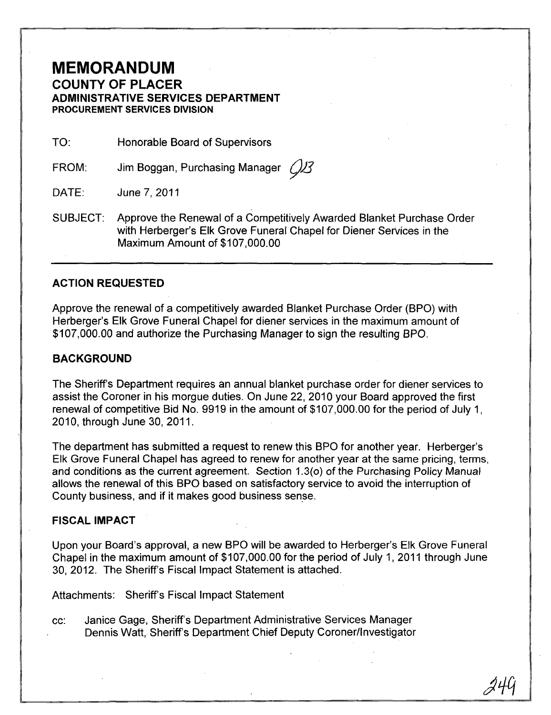# **MEMORANDUM COUNTY OF PLACER ADMINISTRATIVE SERVICES DEPARTMENT PROCUREMENT SERVICES DIVISION**

TO: Honorable Board of Supervisors

FROM: Jim Boggan, Purchasing Manager  $\mathcal{Q}$ 

DATE: June 7,2011

SUBJECT: Approve the Renewal of a Competitively Awarded Blanket Purchase Order with Herberger's Elk Grove Funeral Chapel for Diener Services in the Maximum Amount of \$107,000.00

## **ACTION REQUESTED**

Approve the renewal of a competitively awarded Blanket Purchase Order (BPO) with Herberger's Elk Grove Funeral Chapel for diener services in the maximum amount of \$107,000.00 and authorize the Purchasing Manager to sign the resulting BPO.

### **BACKGROUND**

The Sheriff's Department requires an annual blanket purchase order for diener services to assist the Coroner in his morgue duties. On June 22, 2010 your Board approved the first renewal of competitive Bid No. 9919 in the amount of \$107,000.00 for the period of July 1, 2010, through June 30, 2011.

The department has submitted a request to renew this BPO for another year. Herberger's Elk Grove Funeral Chapel has agreed to renew for another year at the same pricing, terms, and conditions as the current agreement. Section 1.3(0) of the Purchasing Policy Manual allows the renewal of this BPO based on satisfactory service to avoid the interruption of County business, and if it makes good business sense.

#### **FISCAL IMPACT**

Upon your Board's approval, a new BPO will be awarded to Herberger's Elk Grove Funeral Chapel in the maximum amount of \$107,000.00 for the period of July 1,2011 through June 30,2012. The Sheriff's Fiscal Impact Statement is attached.

Attachments: Sheriff's Fiscal Impact Statement

cc: Janice Gage, Sheriff's Department Administrative Services Manager Dennis Watt, Sheriff's Department Chief Deputy Coroner/Investigator